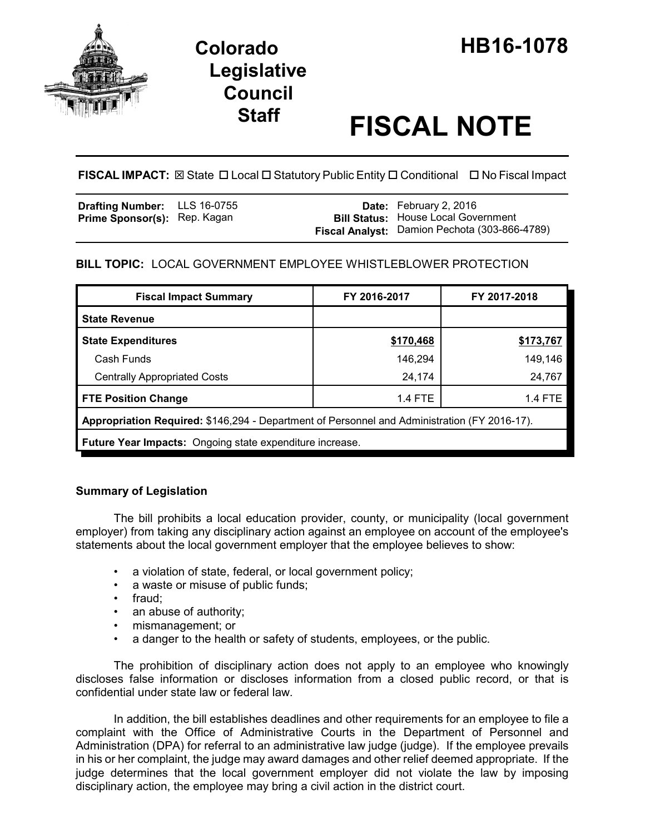

# **Legislative Council**

## **Staff FISCAL NOTE**

**FISCAL IMPACT:** ⊠ State □ Local □ Statutory Public Entity □ Conditional □ No Fiscal Impact

| <b>Drafting Number:</b> LLS 16-0755 |  | <b>Date:</b> February 2, 2016                        |
|-------------------------------------|--|------------------------------------------------------|
| <b>Prime Sponsor(s): Rep. Kagan</b> |  | <b>Bill Status: House Local Government</b>           |
|                                     |  | <b>Fiscal Analyst:</b> Damion Pechota (303-866-4789) |

#### **BILL TOPIC:** LOCAL GOVERNMENT EMPLOYEE WHISTLEBLOWER PROTECTION

| <b>Fiscal Impact Summary</b>                                                                 | FY 2016-2017   | FY 2017-2018   |  |  |  |
|----------------------------------------------------------------------------------------------|----------------|----------------|--|--|--|
| <b>State Revenue</b>                                                                         |                |                |  |  |  |
| <b>State Expenditures</b>                                                                    | \$170,468      | \$173,767      |  |  |  |
| Cash Funds                                                                                   | 146,294        | 149,146        |  |  |  |
| <b>Centrally Appropriated Costs</b>                                                          | 24,174         | 24,767         |  |  |  |
| <b>FTE Position Change</b>                                                                   | <b>1.4 FTE</b> | <b>1.4 FTE</b> |  |  |  |
| Appropriation Required: \$146,294 - Department of Personnel and Administration (FY 2016-17). |                |                |  |  |  |
| <b>Future Year Impacts:</b> Ongoing state expenditure increase.                              |                |                |  |  |  |

#### **Summary of Legislation**

The bill prohibits a local education provider, county, or municipality (local government employer) from taking any disciplinary action against an employee on account of the employee's statements about the local government employer that the employee believes to show:

- a violation of state, federal, or local government policy;
- a waste or misuse of public funds;
- fraud;
- an abuse of authority;
- mismanagement; or
- a danger to the health or safety of students, employees, or the public.

The prohibition of disciplinary action does not apply to an employee who knowingly discloses false information or discloses information from a closed public record, or that is confidential under state law or federal law.

In addition, the bill establishes deadlines and other requirements for an employee to file a complaint with the Office of Administrative Courts in the Department of Personnel and Administration (DPA) for referral to an administrative law judge (judge). If the employee prevails in his or her complaint, the judge may award damages and other relief deemed appropriate. If the judge determines that the local government employer did not violate the law by imposing disciplinary action, the employee may bring a civil action in the district court.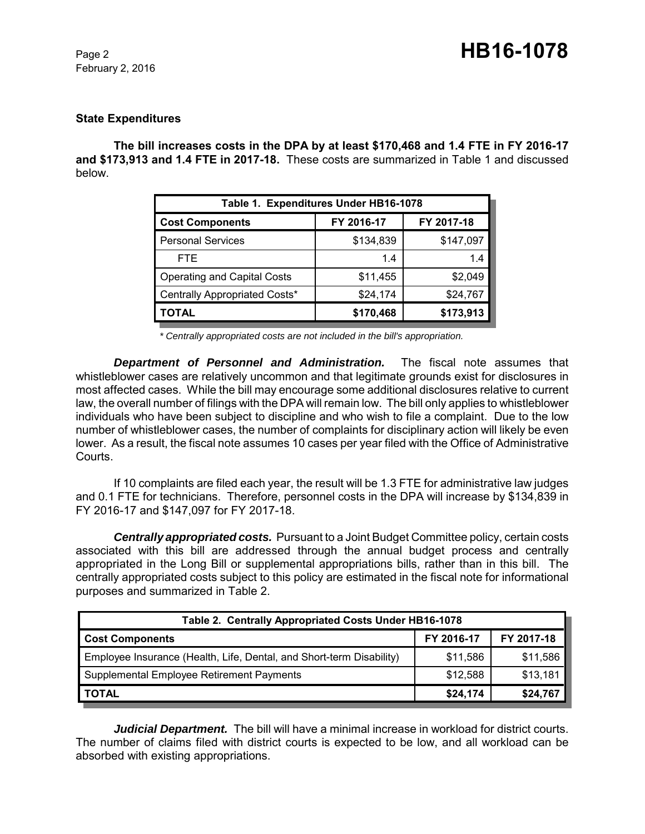February 2, 2016

#### **State Expenditures**

**The bill increases costs in the DPA by at least \$170,468 and 1.4 FTE in FY 2016-17 and \$173,913 and 1.4 FTE in 2017-18.** These costs are summarized in Table 1 and discussed below.

| Table 1. Expenditures Under HB16-1078 |            |            |  |  |  |
|---------------------------------------|------------|------------|--|--|--|
| <b>Cost Components</b>                | FY 2016-17 | FY 2017-18 |  |  |  |
| <b>Personal Services</b>              | \$134,839  | \$147,097  |  |  |  |
| FTE.                                  | 1.4        | 1.4        |  |  |  |
| <b>Operating and Capital Costs</b>    | \$11,455   | \$2,049    |  |  |  |
| Centrally Appropriated Costs*         | \$24,174   | \$24,767   |  |  |  |
| <b>TOTAL</b>                          | \$170,468  | \$173,913  |  |  |  |

 *\* Centrally appropriated costs are not included in the bill's appropriation.*

*Department of Personnel and Administration.* The fiscal note assumes that whistleblower cases are relatively uncommon and that legitimate grounds exist for disclosures in most affected cases. While the bill may encourage some additional disclosures relative to current law, the overall number of filings with the DPA will remain low. The bill only applies to whistleblower individuals who have been subject to discipline and who wish to file a complaint. Due to the low number of whistleblower cases, the number of complaints for disciplinary action will likely be even lower. As a result, the fiscal note assumes 10 cases per year filed with the Office of Administrative Courts.

If 10 complaints are filed each year, the result will be 1.3 FTE for administrative law judges and 0.1 FTE for technicians. Therefore, personnel costs in the DPA will increase by \$134,839 in FY 2016-17 and \$147,097 for FY 2017-18.

*Centrally appropriated costs.* Pursuant to a Joint Budget Committee policy, certain costs associated with this bill are addressed through the annual budget process and centrally appropriated in the Long Bill or supplemental appropriations bills, rather than in this bill. The centrally appropriated costs subject to this policy are estimated in the fiscal note for informational purposes and summarized in Table 2.

| Table 2. Centrally Appropriated Costs Under HB16-1078                |            |            |  |  |  |
|----------------------------------------------------------------------|------------|------------|--|--|--|
| <b>Cost Components</b>                                               | FY 2016-17 | FY 2017-18 |  |  |  |
| Employee Insurance (Health, Life, Dental, and Short-term Disability) | \$11,586   | \$11,586   |  |  |  |
| Supplemental Employee Retirement Payments                            | \$12,588   | \$13,181   |  |  |  |
| <b>TOTAL</b>                                                         | \$24,174   | \$24,767   |  |  |  |

Judicial Department. The bill will have a minimal increase in workload for district courts. The number of claims filed with district courts is expected to be low, and all workload can be absorbed with existing appropriations.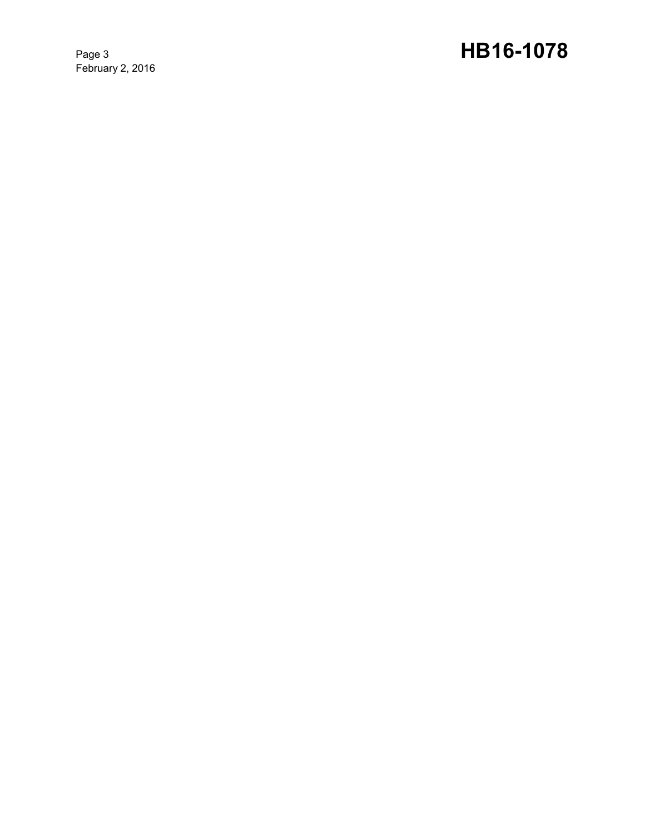February 2, 2016

### Page 3 **HB16-1078**